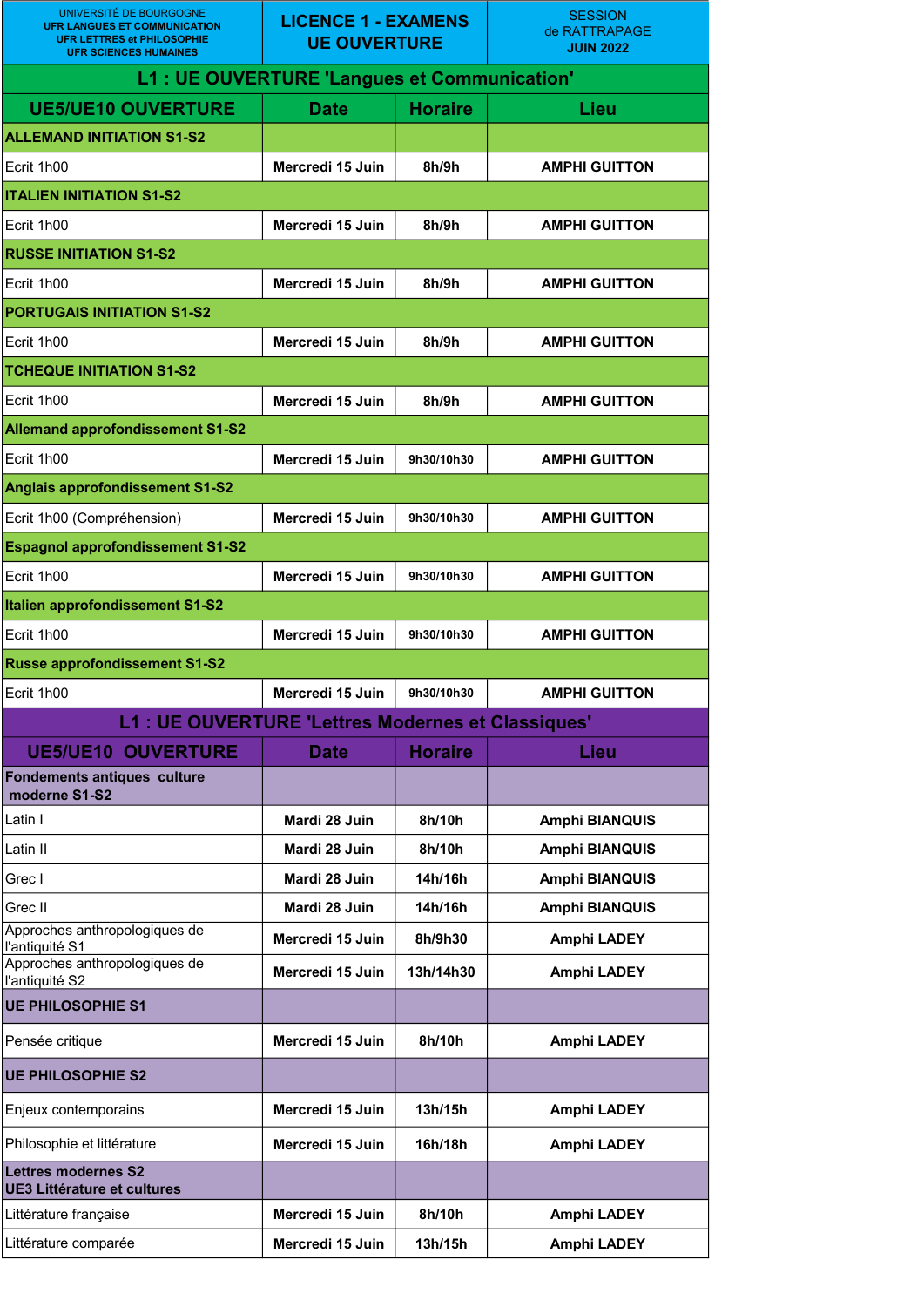| UNIVERSITÉ DE BOURGOGNE<br><b>UFR LANGUES ET COMMUNICATION</b><br><b>UFR LETTRES et PHILOSOPHIE</b><br><b>UFR SCIENCES HUMAINES</b> | <b>LICENCE 1 - EXAMENS</b><br><b>UE OUVERTURE</b> |                | <b>SESSION</b><br>de RATTRAPAGE<br><b>JUIN 2022</b> |  |  |
|-------------------------------------------------------------------------------------------------------------------------------------|---------------------------------------------------|----------------|-----------------------------------------------------|--|--|
| L1 : UE OUVERTURE 'Langues et Communication'                                                                                        |                                                   |                |                                                     |  |  |
| <b>UE5/UE10 OUVERTURE</b>                                                                                                           | <b>Date</b>                                       | <b>Horaire</b> | Lieu                                                |  |  |
| <b>ALLEMAND INITIATION S1-S2</b>                                                                                                    |                                                   |                |                                                     |  |  |
| Ecrit 1h00                                                                                                                          | Mercredi 15 Juin                                  | 8h/9h          | <b>AMPHI GUITTON</b>                                |  |  |
| <b>ITALIEN INITIATION S1-S2</b>                                                                                                     |                                                   |                |                                                     |  |  |
| Ecrit 1h00                                                                                                                          | Mercredi 15 Juin                                  | 8h/9h          | <b>AMPHI GUITTON</b>                                |  |  |
| <b>RUSSE INITIATION S1-S2</b>                                                                                                       |                                                   |                |                                                     |  |  |
| Ecrit 1h00                                                                                                                          | Mercredi 15 Juin                                  | 8h/9h          | <b>AMPHI GUITTON</b>                                |  |  |
| <b>PORTUGAIS INITIATION S1-S2</b>                                                                                                   |                                                   |                |                                                     |  |  |
| Ecrit 1h00                                                                                                                          | Mercredi 15 Juin                                  | 8h/9h          | <b>AMPHI GUITTON</b>                                |  |  |
| <b>TCHEQUE INITIATION S1-S2</b>                                                                                                     |                                                   |                |                                                     |  |  |
| Ecrit 1h00                                                                                                                          | Mercredi 15 Juin                                  | 8h/9h          | <b>AMPHI GUITTON</b>                                |  |  |
| <b>Allemand approfondissement S1-S2</b>                                                                                             |                                                   |                |                                                     |  |  |
| Ecrit 1h00                                                                                                                          | Mercredi 15 Juin                                  | 9h30/10h30     | <b>AMPHI GUITTON</b>                                |  |  |
| <b>Anglais approfondissement S1-S2</b>                                                                                              |                                                   |                |                                                     |  |  |
| Ecrit 1h00 (Compréhension)                                                                                                          | Mercredi 15 Juin                                  | 9h30/10h30     | <b>AMPHI GUITTON</b>                                |  |  |
| <b>Espagnol approfondissement S1-S2</b>                                                                                             |                                                   |                |                                                     |  |  |
| Ecrit 1h00                                                                                                                          | Mercredi 15 Juin                                  | 9h30/10h30     | <b>AMPHI GUITTON</b>                                |  |  |
| <b>Italien approfondissement S1-S2</b>                                                                                              |                                                   |                |                                                     |  |  |
| Ecrit 1h00                                                                                                                          | Mercredi 15 Juin                                  | 9h30/10h30     | <b>AMPHI GUITTON</b>                                |  |  |
| <b>Russe approfondissement S1-S2</b>                                                                                                |                                                   |                |                                                     |  |  |
| Ecrit 1h00                                                                                                                          | Mercredi 15 Juin                                  | 9h30/10h30     | <b>AMPHI GUITTON</b>                                |  |  |
| L1 : UE OUVERTURE 'Lettres Modernes et Classiques'                                                                                  |                                                   |                |                                                     |  |  |
| <b>UE5/UE10 OUVERTURE</b>                                                                                                           | <b>Date</b>                                       | <b>Horaire</b> | Lieu                                                |  |  |
| <b>Fondements antiques culture</b><br>moderne S1-S2                                                                                 |                                                   |                |                                                     |  |  |
| Latin I                                                                                                                             | Mardi 28 Juin                                     | 8h/10h         | <b>Amphi BIANQUIS</b>                               |  |  |
| Latin II                                                                                                                            | Mardi 28 Juin                                     | 8h/10h         | <b>Amphi BIANQUIS</b>                               |  |  |
| Grec I                                                                                                                              | Mardi 28 Juin                                     | 14h/16h        | <b>Amphi BIANQUIS</b>                               |  |  |
| Grec II                                                                                                                             | Mardi 28 Juin                                     | 14h/16h        | <b>Amphi BIANQUIS</b>                               |  |  |
| Approches anthropologiques de<br>l'antiquité S1                                                                                     | Mercredi 15 Juin                                  | 8h/9h30        | <b>Amphi LADEY</b>                                  |  |  |
| Approches anthropologiques de<br>l'antiquité S2                                                                                     | Mercredi 15 Juin                                  | 13h/14h30      | <b>Amphi LADEY</b>                                  |  |  |
| <b>UE PHILOSOPHIE S1</b>                                                                                                            |                                                   |                |                                                     |  |  |
| Pensée critique                                                                                                                     | Mercredi 15 Juin                                  | 8h/10h         | <b>Amphi LADEY</b>                                  |  |  |
| <b>UE PHILOSOPHIE S2</b>                                                                                                            |                                                   |                |                                                     |  |  |
| Enjeux contemporains                                                                                                                | Mercredi 15 Juin                                  | 13h/15h        | <b>Amphi LADEY</b>                                  |  |  |
| Philosophie et littérature                                                                                                          | Mercredi 15 Juin                                  | 16h/18h        | <b>Amphi LADEY</b>                                  |  |  |
| <b>Lettres modernes S2</b><br><b>UE3 Littérature et cultures</b>                                                                    |                                                   |                |                                                     |  |  |
| Littérature française                                                                                                               | Mercredi 15 Juin                                  | 8h/10h         | <b>Amphi LADEY</b>                                  |  |  |
| Littérature comparée                                                                                                                | Mercredi 15 Juin                                  | 13h/15h        | <b>Amphi LADEY</b>                                  |  |  |